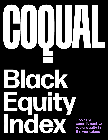# **Black Equity Index Index Index Index Index Index Index Index Index Index Index Index Index Index Index Index Index Index Index Index Index Index Index Index Index**

**commitment to racial equity in the workplace**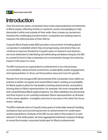# **Introduction**

Over the past two years, companies have made unprecedented commitments to Black equity, reflecting frankly on systemic racism and pledging to help dismantle it within and outside of their walls. Now, to keep up momentum towards this challenging transformation, companies are seeking ways to measure the effectiveness of their efforts.

Coqual's Black Equity Index (BEI) provides a benchmark of leading global companies to establish where they are progressing, and where they can continue to improve. Backed by Coqual's years of research and advisory services dedicated to identifying and eliminating workplace inequity, the BEI is a powerful tool to help companies turn incremental change into enduring impact in the years to come.

The BEI measures an organization's achievement in six critical areas: accountability, advancement, investment, sustainability, public engagement, and representation. In all six, we find positive news and room for growth.

Results from the inaugural BEI demonstrate that companies have rolled out policies to better recognize and reward Black talent—putting accountability for Black equity in place for top leaders, tracking advancement, and publicly sharing data on Black representation, for example. Yet most companies still lack comprehensive Black equity programs. Too often, initiatives are piecemeal, and their impact is not carefully evaluated. Black representation at all levels of the career pipeline—a tangible outcome of success in the other five focus areas—still lags.

The BEI's methods rest on Coqual's many years of actionable research tackling workplace bias and uncovering barriers to advancement for underrepresented populations. Analysis of the BEI survey data is this project's crucial element. In this white paper, we have aggregated individual company findings to reveal the broader corporate landscape for Black professionals.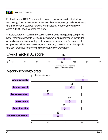

For the inaugural BEI, 26 companies from a range of industries (including technology, financial services, professional services, energy and utility firms, and life sciences) stepped forward to participate. Together, they employ some 700,000 people across the globe.

What follows is the first installment of a multi-year undertaking to help companies honor their commitments to Black equity. Surveys and analyses will be fielded annually so companies can log their progress year over year. But, importantly, our process will also evolve—alongside continuing conversations about goals and best practices for achieving Black equity in the workplace.

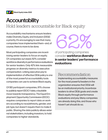# **Accountability** Hold leaders accountable for Black equity

Accountability mechanisms ensure leaders make Diversity, Equity, and Inclusion (DE&I) a priority. It's encouraging to see that many companies have implemented them—and, of course, there is more to be done.

Most participating companies are incentivizing senior leaders to focus on equity. Of companies surveyed, 62% consider workforce diversity in performance evaluations for senior leaders. Only 42% link measurable progress on diversity metrics to executive compensation. Linking executive pay to implementation of effective DE&I policy is one of the most powerful accountability tools companies can use to achieve Black equity.

Of BEI participant companies, 81% choose to publicly report EEOC-1 data, a laudable move towards transparency. The Equal Employment Opportunity Commission (EEOC) requires companies to report data on workers according to race/ethnicity, gender, and job type, but doesn't require them to make it public. Sharing the data publicly allows external stakeholders, including investors, to hold companies to higher standards.

**62%** 

of participating companies consider **workforce diversity in senior leaders' performance evaluations**

## Recommendation

Implementing accountability measures for the most powerful leaders in the organization ensures that DE&I will be an institutional priority. Incentivize leaders to drive DE&I goals and create Black equity through performance evaluations and pay. Many companies are already doing this, and those who haven't yet should do so.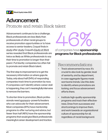# Advancement Promote and retain Black talent

Advancement continues to be a challenge. Black professionals are less likely than professionals of other racial groups to receive promotion opportunities or to have access to senior leaders, Coqual finds in [study](https://coqual.org/reports/being-black-in-corporate-america-an-intersectional-exploration/) after [study](https://coqual.org/reports/equity-at-work/). Coqual's *[Equity at Work](https://coqual.org/reports/equity-at-work/)* series revealed that Black professionals are twice as likely as White professionals to say their time to promotion is longer than their peers'. Put bluntly: companies too often fail to promote and retain Black talent.

The first step to improvement is to get the necessary information on where gaps lie. Today, only about half (54%) of responding companies track time to promotion by race. If companies can't identify where career stall is happening, they can't meaningfully intervene to remove the barriers.

To shorten time to promotion, Black professionals need [sponsors](https://coqual.org/reports/the-sponsor-dividend/)—powerful leaders who can advocate for their advancement. Most companies (81%) have mentorship programs to offer nurturing and advice, but fewer than half (46%) have the sponsorship programs that would give Black professionals meaningful career development and traction.

# 46%

of companies have **sponsorship programs for Black professionals**

# Recommendations

- Track advancement by race. It's crucial to also look by gender, level of seniority, and by department, in case aggregate figures mask worrisome trends. Use this data to identify where promotions are lacking, and focus advancement efforts there.
- Institute high-quality sponsorship programs and track their effectiveness. Draw from successes and shortcomings to improve them, and work towards an organizational culture of sponsorship for all, regardless of racial background.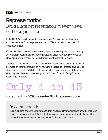# Representation Build Black representation at every level of the organization

In the US,10% of college graduates are Black.Yet only two participating companies have Black representation of 10% (or more) across their US employee bases.

Especially when it comes to leadership, representation figures can be daunting. After all, representation is a lagging indicator, often reflecting the need to drive greater equity and inclusion throughout the talent life cycle.

Just look at the top of the house: 38% of BEI respondents lack a single Black member on their boards. It's no wonder, then, that Black professionals are six times more likely than White professionals to believe someone of their race/ ethnicity would never have the top job, as Coqual found in *[Being Black in](https://coqual.org/reports/being-black-in-corporate-america-an-intersectional-exploration/)  [Corporate America.](https://coqual.org/reports/being-black-in-corporate-america-an-intersectional-exploration/)*

# Only 1 in 13

companies have **10% or greater Black representation**

# Recommendation

Build a pipeline of board candidates to draw on, and cultivate relationships with Black leaders early and often. Resist the instinct to only tap existing networks, which are often insular. Reconsider traditional playbooks for board candidacy.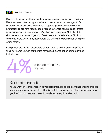

Black professionals, BEI results show, are often siloed in support functions. Black representation is highest in human resources, at an average of 11% of staff in those departments across responding companies. And Black professionals are rarely team leads. Across our entire sample, Black professionals make up, on average, only 4% of people managers. (Note that this data reflects the percentage of professionals who self-identify as Black to their employers, which may not capture the entire Black population at a given organization.)

Companies are making an effort to better understand the demographics of their workforce: 85% of companies have a self-identification campaign that includes race.



# Recommendation

As you work on representation, pay special attention to people managers and product managers/core business roles. Effective self-ID campaigns will likely be necessary to get the data you need—and keep in mind that data privacy is crucial.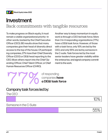# Investment Back commitments with tangible resources

To make progress on Black equity, it must remain a visible organizational priority—in other words, backed by the Chief Executive Officer (CEO). BEI results show that many companies give their head of diversity direct access to the top of the house. Of participating companies, 27% have their Chief Diversity Officer (CDO) or DE&I head reporting to the CEO. Most others report into the Chief Operating Officer, Chief Talent Officer, or Chief Human Resources Officer (CHRO).

Another way to keep momentum in equity work is through a CEO-led task force. More than 3 in 4 responding organizations (77%) have a DE&I task force. However, of those with a task force, only 10% are led by the CEO, and only 55% are led by someone in the C-suite. Task forces led by the most senior leaders have greater visibility within the enterprise, and signal company commitment to the work.

of responding companies **have a DE&I task force** of responding<br>
of responding<br>
of responding<br>
of responding<br>
of responding<br>
of responding<br>
of responding<br>
of **DE&I** task f **17 & Participal Companies have**<br> **77 & DE&I task force**<br> **77 & DE&I task force** 

### Company task forces led by:

The CEO



55%

### Someone in the C-Suite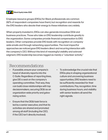

Employee resource groups (ERGs) for Black professionals are common (92% of respondent companies have them), but recognition and rewards for the ERG leaders who devote their energy to these initiatives vary widely.

When properly invested in, ERGs can also generate innovative DE&I and business practices. Those who take on ERG leadership contribute greatly to the organization. Some companies provide financial compensation to ERG leaders. Other companies provide ERG leads with recognition on companywide emails and through networking opportunities. The most impactful approaches we noticed gave ERG leaders direct and recurring interaction with the company's CEO. Without this kind of meaningful visibility and acknowledgment, ERG leadership becomes tagged as merely a "volunteer activity."

## Recommendations

- If possible, ensure your company's head of diversity reports into the C-Suite. Regardless of reporting lines, give DEI a seat on the company's operating committee. That way, they can build close relationships with top decisionmakers, securing DE&I as an organization-wide priority and galvanizing action.
- Ensure that the DE&I task force is led by a senior executive, and that its activities are shared and promoted among all staff (including the CEO, if the CEO isn't directly involved).
- To acknowledge the crucial role that ERGs play in shaping organizational culture and uncovering business opportunities, ERG leaders need to be sufficiently rewarded for their contributions. Pay, recognition, time during business hours, and visibility with senior leaders all send the right signals.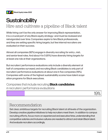# **Sustainability** Hire and cultivate a pipeline of Black talent

While hiring can't be the only answer for improving Black representation, it is a crucial part of any Black equity strategy—and must be reviewed and reinvigorated over time. Companies aspire to hire Black professionals, and they are setting specific hiring targets, but few internal recruiters are evaluated on their success.

Almost all companies (92%) engage in diversity recruiting for entry-, mid-, and senior-level roles. And about 4 in 5 (81%) have diversity hiring targets for at least one role at their organizations.

But recruiters' performance evaluations only include a diversity element at half of companies surveyed, and recruiting Black candidates is only part of recruiters' performance evaluations at about one in five companies (19%). Companies with some of the highest sustainability scores have talent acquisition programs for Black executives.

Companies that include recruiting **Black candidates** in recruiters' performance evaluations



# Recommendation

Set clear, ambitious targets for recruiting Black talent at all levels of the organization. Develop creative pipeline initiatives to help recruiters meet them. In addition to campus recruiting efforts, focus more on experienced and executive hires, understanding that competitive salaries *and* inclusive cultures are needed to attract and retain Black talent. And evaluate recruiters accordingly.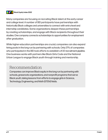

Many companies are focusing on recruiting Black talent at the early career and college level. A number of BEI participants have partnerships with historically Black colleges and universities to connect with entry-level and internship candidates. Some organizations deepen these partnerships by creating scholarships, and engage with Black recipients throughout their studies. One company connects scholarships to opportunities for employment after graduation.

While higher-education partnerships are crucial, companies can also expand hiring pools in the long run by partnering with schools. Only 27% of companies who participated in the BEI took efforts to establish a K-12 recruitment pipeline. One business works with partners like Black Girls Code and the National Urban League to engage Black youth through training and mentorship.

## Recommendation

Companies can improve Black equity in the long run by partnering with schools, grassroots organizations, and nonprofit programs that serve Black youth, taking lessons from efforts to engage girls in Science, Technology, Engineering, and Math (STEM) fields.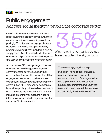

# Public engagement Address social inequity beyond the corporate sector

One simple way companies can influence Black equity more broadly is by ensuring their suppliers prioritize Black equity as well. Surprisingly, 35% of participating organizations do not currently have a supplier diversity program. As a result, they likely lack a diverse supply chain of contractors, distributors, and other external parties who provide the goods and services that make their companies run.

An area where BEI participating companies are doing well: making good on financial commitments to advance equity in their communities. The quantity and quality of that engagement varies, and can be improved over time, but most companies are active in their communities. All 26 responding companies have either publicly or internally announced a commitment to racial justice, and 21 of them included a monetary component. Nearly all (92%) have partnered with organizations that serve the Black community.

# of participating companies do not

of participating companies **do not have** a supplier diversity program

If you don't have a supplier diversity program, create one. Ensure it is endorsed at the top of the organization and is given meaningful investment. Educate procurement teams. Study the program's. successes and shortcomings to continually make it more effective. Recommendation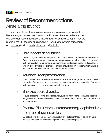

# Review of Recommendations Make a big impact

The inaugural BEI results show us where companies are performing well on Black equity and where they can improve. For ease of reference, here is a recap of the ten recommendations made throughout this white paper. They are rooted in the BEI baseline findings, and in Coqual's many years of [research](https://coqual.org/reports/being-black-in-corporate-america-an-intersectional-exploration/) and [advisory](https://coqualadvisory.com/) work on [equity,](https://coqual.org/reports/equity-at-work/) [diversity](https://coqual.org/reports/__disrupt-bias-drive-value/), and [inclusion](https://coqual.org/reports/equity-calls-on-everyone/).

### Hold leaders accountable.  $\overline{\phantom{a}}$

It's encouraging to see many organizations holding leaders to account for inequities in Black employee experiences and career progress. Any organization that isn't yet making DE&I work part of performance evaluations for senior leadership should do so. Those who are already holding leaders accountable should build an assessment of inclusive behavior into performance expectations for all employees.

### Advance Black professionals.  $\mathbb{R}^n$

Track promotions by race—and dig deeper with other cuts like gender and level of seniority—to identify where promotions are lacking, or where they're not awarded as frequently as they should be. Focus advancement efforts there.

### Shore up board diversity. n.

To build a pipeline of candidates to draw on, cultivate relationships with Black leaders early and often. Look beyond existing networks, and reconsider traditional playbooks for board candidacy.

 $\mathbb{R}^n$ 

# Prioritize Black representation among people leaders and in core business roles.

BEI data shows that representation is particularly lacking in those roles, which have outsized impact on your company's product and leadership pipeline.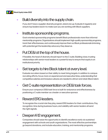÷



# Build diversity into the supply chain.

If you don't have a supplier diversity program, stand one up. Evaluate it regularly and ensure top leaders back it to make sure you are working with Black suppliers.

### Institute sponsorship programs. n.

Goal-oriented sponsorship programs benefit Black professionals more than informal mentorship programs. Organizations should implement high-quality sponsorship programs, track their effectiveness, and continuously improve them so Black professionals brimming with potential get the leadership advocacy they deserve.

### Put DE&I at the top of the house. n.

If feasible, the head of diversity should report to the C-suite. Building close, trusting relationships with senior-most leaders is a powerful way to ensure that equity is an institutional priority.

### Set targets to hire Black talent at every level.  $\mathbf{r}$

Evaluate recruiters based on their ability to meet hiring targets. In addition to campus recruiting efforts, focus more on experienced and executive hires, understanding that competitive salaries *and* inclusive cultures are needed to attract and retain Black talent.

### Get C-suite representation on DE&I task forces. n.

Ensure your company's DE&I task force is built for endurance and effectiveness by positioning a C-suite member as a leader or executive sponsor.

### Reward ERG leaders.  $\mathcal{L}_{\mathcal{A}}$

To recognize the crucial role they play, reward ERG leaders for their contributions. Pay, recognition, time during business hours, and visibility with senior leaders all send the right signals.

### Deepen K-12 engagement.  $\mathcal{L}_{\mathcal{A}}$

Companies should seize the opportunity to identify excellence early via sustained engagement with schools and youth organizations. The most effective partnerships go beyond donations, and include education, training, and mentorship programs.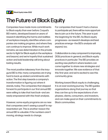

# The Future of Black Equity

Companies have made more commitments to Black equity than ever before. Coqual's BEI metric, developed based on years of research identifying the harms and realities of workplace inequity, identifies where companies are making progress, and where they can continue to improve. While much work remains, we see determination in the private sector to fight for Black equity in the workplace and beyond, and we're hopeful that sustained action and bold leadership will bring about lasting results.

The most positive takeaway from the inaugural BEI is this: many companies are trying hard to back up stated commitments with action. The first step towards a company's transformation is figuring out where it stands, today. The companies that stepped forward to participate in our first annual BEI were willing to take that hard look—and are newly empowered with this fresh analysis.

However, some equity programs are so new that companies aren't seeing a payoff in representation yet. This is another reason the annual BEI is valuable: if the numbers aren't moving, strategy needs to change.

For companies that haven't had a chance to participate yet, there will be more opportunities to join us in the future. This year is just the beginning for the BEI. As Black equity progresses—as research develops and best practices emerge—the BEI's analysis will expand, too.

Collaboration is a key component to improving DE&I practices in general, and Black equity practices in particular. The BEI provides an exciting new platform where leaders can come together to share new strategies and innovate together. We saw evidence of that this first year, and we're excited to see this community grow.

Working toward Black equity is challenging. It is an ever-evolving journey. The BEI guides organizations along that journey so that they can live up to the expectations of employees, clients, consumers, and investors, and can make good on their commitments to Black communities.